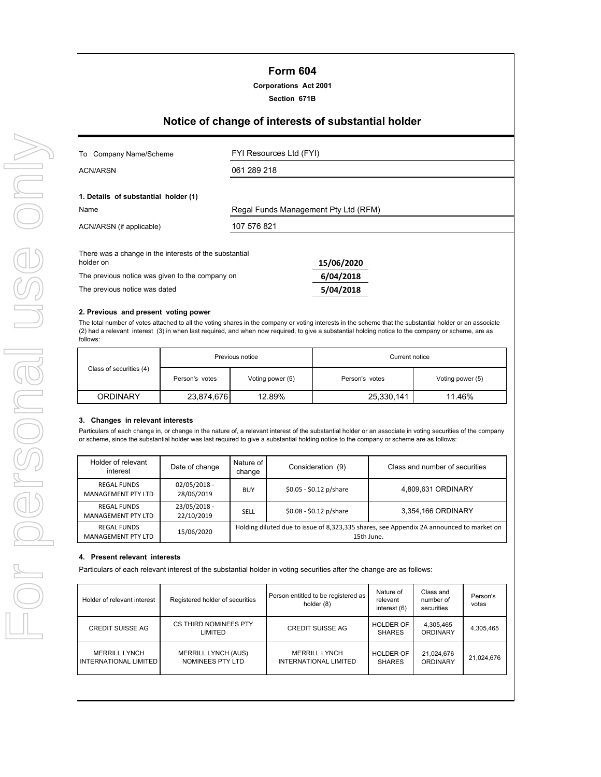## **Form 604**

## **Corporations Act 2001**

## **Section 671B**

# **Notice of change of interests of substantial holder**

| Company Name/Scheme<br>To                                           | FYI Resources Ltd (FYI)              |            |  |  |
|---------------------------------------------------------------------|--------------------------------------|------------|--|--|
| ACN/ARSN                                                            | 061 289 218                          |            |  |  |
| 1. Details of substantial holder (1)<br>Name                        | Regal Funds Management Pty Ltd (RFM) |            |  |  |
| ACN/ARSN (if applicable)                                            | 107 576 821                          |            |  |  |
| There was a change in the interests of the substantial<br>holder on |                                      | 15/06/2020 |  |  |
| The previous notice was given to the company on                     |                                      | 6/04/2018  |  |  |
| The previous notice was dated                                       |                                      | 5/04/2018  |  |  |

#### **2. Previous and present voting power**

The total number of votes attached to all the voting shares in the company or voting interests in the scheme that the substantial holder or an associate (2) had a relevant interest (3) in when last required, and when now required, to give a substantial holding notice to the company or scheme, are as follows:

|                         | Previous notice |                  | Current notice |                  |  |
|-------------------------|-----------------|------------------|----------------|------------------|--|
| Class of securities (4) | Person's votes  | Voting power (5) | Person's votes | Voting power (5) |  |
| ORDINARY                | 23,874,676      | 12.89%           | 25,330,141     | 11.46%           |  |

#### **3. Changes in relevant interests**

Particulars of each change in, or change in the nature of, a relevant interest of the substantial holder or an associate in voting securities of the company or scheme, since the substantial holder was last required to give a substantial holding notice to the company or scheme are as follows:

| Holder of relevant<br>interest           | Date of change               | Nature of<br>change                                                                                    | Consideration (9)       | Class and number of securities |
|------------------------------------------|------------------------------|--------------------------------------------------------------------------------------------------------|-------------------------|--------------------------------|
| <b>REGAL FUNDS</b><br>MANAGEMENT PTY LTD | $02/05/2018 -$<br>28/06/2019 | <b>BUY</b>                                                                                             | \$0.05 - \$0.12 p/share | 4,809,631 ORDINARY             |
| <b>REGAL FUNDS</b><br>MANAGEMENT PTY LTD | 23/05/2018 -<br>22/10/2019   | SELL                                                                                                   | \$0.08 - \$0.12 p/share | 3,354,166 ORDINARY             |
| <b>REGAL FUNDS</b><br>MANAGEMENT PTY LTD | 15/06/2020                   | Holding diluted due to issue of 8,323,335 shares, see Appendix 2A announced to market on<br>15th June. |                         |                                |

## **4. Present relevant interests**

Particulars of each relevant interest of the substantial holder in voting securities after the change are as follows:

| Holder of relevant interest                          | Registered holder of securities                | Person entitled to be registered as<br>holder (8) | Nature of<br>relevant<br>interest (6) | Class and<br>number of<br>securities | Person's<br>votes |
|------------------------------------------------------|------------------------------------------------|---------------------------------------------------|---------------------------------------|--------------------------------------|-------------------|
| <b>CREDIT SUISSE AG</b>                              | CS THIRD NOMINEES PTY<br>LIMITED               | <b>CREDIT SUISSE AG</b>                           | <b>HOLDER OF</b><br><b>SHARES</b>     | 4,305,465<br>ORDINARY                | 4,305,465         |
| <b>MERRILL LYNCH</b><br><b>INTERNATIONAL LIMITED</b> | <b>MERRILL LYNCH (AUS)</b><br>NOMINEES PTY LTD | <b>MERRILL LYNCH</b><br>INTERNATIONAL LIMITED     | <b>HOLDER OF</b><br><b>SHARES</b>     | 21,024,676<br><b>ORDINARY</b>        | 21,024,676        |